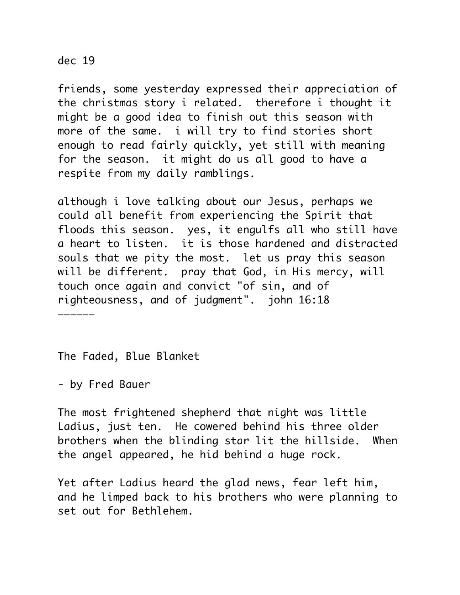dec 19

friends, some yesterday expressed their appreciation of the christmas story i related. therefore i thought it might be a good idea to finish out this season with more of the same. i will try to find stories short enough to read fairly quickly, yet still with meaning for the season. it might do us all good to have a respite from my daily ramblings.

although i love talking about our Jesus, perhaps we could all benefit from experiencing the Spirit that floods this season. yes, it engulfs all who still have a heart to listen. it is those hardened and distracted souls that we pity the most. let us pray this season will be different. pray that God, in His mercy, will touch once again and convict "of sin, and of righteousness, and of judgment". john 16:18 ——————

The Faded, Blue Blanket

- by Fred Bauer

The most frightened shepherd that night was little Ladius, just ten. He cowered behind his three older brothers when the blinding star lit the hillside. When the angel appeared, he hid behind a huge rock.

Yet after Ladius heard the glad news, fear left him, and he limped back to his brothers who were planning to set out for Bethlehem.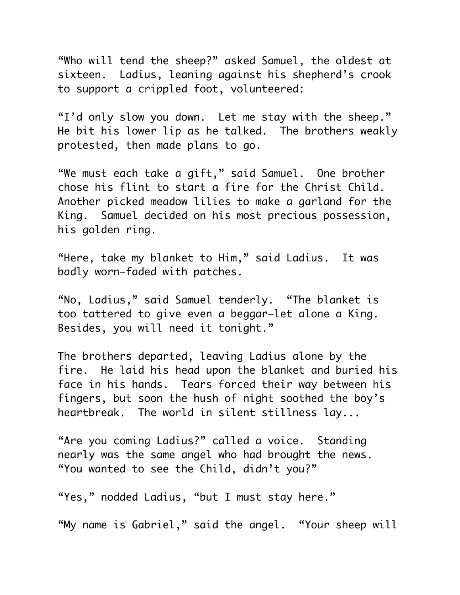"Who will tend the sheep?" asked Samuel, the oldest at sixteen. Ladius, leaning against his shepherd's crook to support a crippled foot, volunteered:

"I'd only slow you down. Let me stay with the sheep." He bit his lower lip as he talked. The brothers weakly protested, then made plans to go.

"We must each take a gift," said Samuel. One brother chose his flint to start a fire for the Christ Child. Another picked meadow lilies to make a garland for the King. Samuel decided on his most precious possession, his golden ring.

"Here, take my blanket to Him," said Ladius. It was badly worn—faded with patches.

"No, Ladius," said Samuel tenderly. "The blanket is too tattered to give even a beggar—let alone a King. Besides, you will need it tonight."

The brothers departed, leaving Ladius alone by the fire. He laid his head upon the blanket and buried his face in his hands. Tears forced their way between his fingers, but soon the hush of night soothed the boy's heartbreak. The world in silent stillness lay...

"Are you coming Ladius?" called a voice. Standing nearly was the same angel who had brought the news. "You wanted to see the Child, didn't you?"

"Yes," nodded Ladius, "but I must stay here."

"My name is Gabriel," said the angel. "Your sheep will